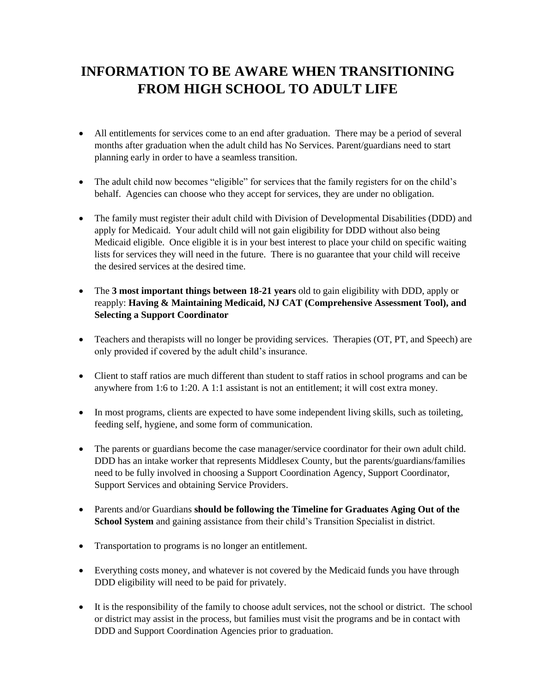## **INFORMATION TO BE AWARE WHEN TRANSITIONING FROM HIGH SCHOOL TO ADULT LIFE**

- All entitlements for services come to an end after graduation. There may be a period of several months after graduation when the adult child has No Services. Parent/guardians need to start planning early in order to have a seamless transition.
- The adult child now becomes "eligible" for services that the family registers for on the child's behalf. Agencies can choose who they accept for services, they are under no obligation.
- The family must register their adult child with Division of Developmental Disabilities (DDD) and apply for Medicaid. Your adult child will not gain eligibility for DDD without also being Medicaid eligible. Once eligible it is in your best interest to place your child on specific waiting lists for services they will need in the future. There is no guarantee that your child will receive the desired services at the desired time.
- The **3 most important things between 18-21 years** old to gain eligibility with DDD, apply or reapply: **Having & Maintaining Medicaid, NJ CAT (Comprehensive Assessment Tool), and Selecting a Support Coordinator**
- Teachers and therapists will no longer be providing services. Therapies (OT, PT, and Speech) are only provided if covered by the adult child's insurance.
- Client to staff ratios are much different than student to staff ratios in school programs and can be anywhere from 1:6 to 1:20. A 1:1 assistant is not an entitlement; it will cost extra money.
- In most programs, clients are expected to have some independent living skills, such as toileting, feeding self, hygiene, and some form of communication.
- The parents or guardians become the case manager/service coordinator for their own adult child. DDD has an intake worker that represents Middlesex County, but the parents/guardians/families need to be fully involved in choosing a Support Coordination Agency, Support Coordinator, Support Services and obtaining Service Providers.
- Parents and/or Guardians **should be following the Timeline for Graduates Aging Out of the School System** and gaining assistance from their child's Transition Specialist in district.
- Transportation to programs is no longer an entitlement.
- Everything costs money, and whatever is not covered by the Medicaid funds you have through DDD eligibility will need to be paid for privately.
- It is the responsibility of the family to choose adult services, not the school or district. The school or district may assist in the process, but families must visit the programs and be in contact with DDD and Support Coordination Agencies prior to graduation.